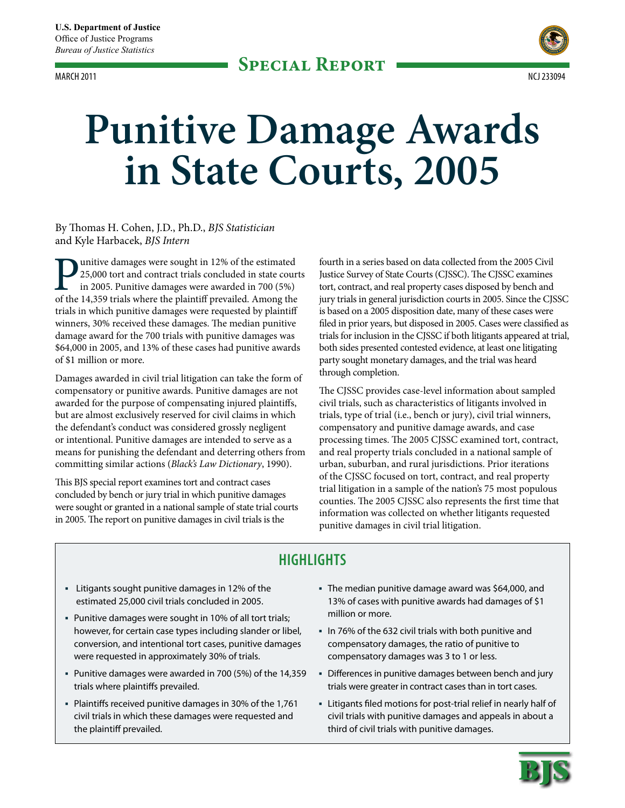

# **Punitive Damage Awards in State Courts, 2005**

# By Thomas H. Cohen, J.D., Ph.D., *BJS Statistician* and Kyle Harbacek, *BJS Intern*

unitive damages were sought in 12% of the estimated 25,000 tort and contract trials concluded in state courts in 2005. Punitive damages were awarded in 700 (5%) of the 14,359 trials where the plaintiff prevailed. Among the trials in which punitive damages were requested by plaintiff winners, 30% received these damages. The median punitive damage award for the 700 trials with punitive damages was \$64,000 in 2005, and 13% of these cases had punitive awards of \$1 million or more.

Damages awarded in civil trial litigation can take the form of compensatory or punitive awards. Punitive damages are not awarded for the purpose of compensating injured plaintiffs, but are almost exclusively reserved for civil claims in which the defendant's conduct was considered grossly negligent or intentional. Punitive damages are intended to serve as a means for punishing the defendant and deterring others from committing similar actions (*Black's Law Dictionary*, 1990).

This BJS special report examines tort and contract cases concluded by bench or jury trial in which punitive damages were sought or granted in a national sample of state trial courts in 2005. The report on punitive damages in civil trials is the

fourth in a series based on data collected from the 2005 Civil Justice Survey of State Courts (CJSSC). The CJSSC examines tort, contract, and real property cases disposed by bench and jury trials in general jurisdiction courts in 2005. Since the CJSSC is based on a 2005 disposition date, many of these cases were filed in prior years, but disposed in 2005. Cases were classified as trials for inclusion in the CJSSC if both litigants appeared at trial, both sides presented contested evidence, at least one litigating party sought monetary damages, and the trial was heard through completion.

The CJSSC provides case-level information about sampled civil trials, such as characteristics of litigants involved in trials, type of trial (i.e., bench or jury), civil trial winners, compensatory and punitive damage awards, and case processing times. The 2005 CJSSC examined tort, contract, and real property trials concluded in a national sample of urban, suburban, and rural jurisdictions. Prior iterations of the CJSSC focused on tort, contract, and real property trial litigation in a sample of the nation's 75 most populous counties. The 2005 CJSSC also represents the first time that information was collected on whether litigants requested punitive damages in civil trial litigation.

# **Highlights**

- Litigants sought punitive damages in 12% of the estimated 25,000 civil trials concluded in 2005.
- Punitive damages were sought in 10% of all tort trials; however, for certain case types including slander or libel, conversion, and intentional tort cases, punitive damages were requested in approximately 30% of trials.
- Punitive damages were awarded in 700 (5%) of the 14,359 trials where plaintiffs prevailed.
- Plaintiffs received punitive damages in 30% of the 1,761 civil trials in which these damages were requested and the plaintiff prevailed.
- The median punitive damage award was \$64,000, and 13% of cases with punitive awards had damages of \$1 million or more.
- In 76% of the 632 civil trials with both punitive and compensatory damages, the ratio of punitive to compensatory damages was 3 to 1 or less.
- Differences in punitive damages between bench and jury trials were greater in contract cases than in tort cases.
- Litigants filed motions for post-trial relief in nearly half of civil trials with punitive damages and appeals in about a third of civil trials with punitive damages.

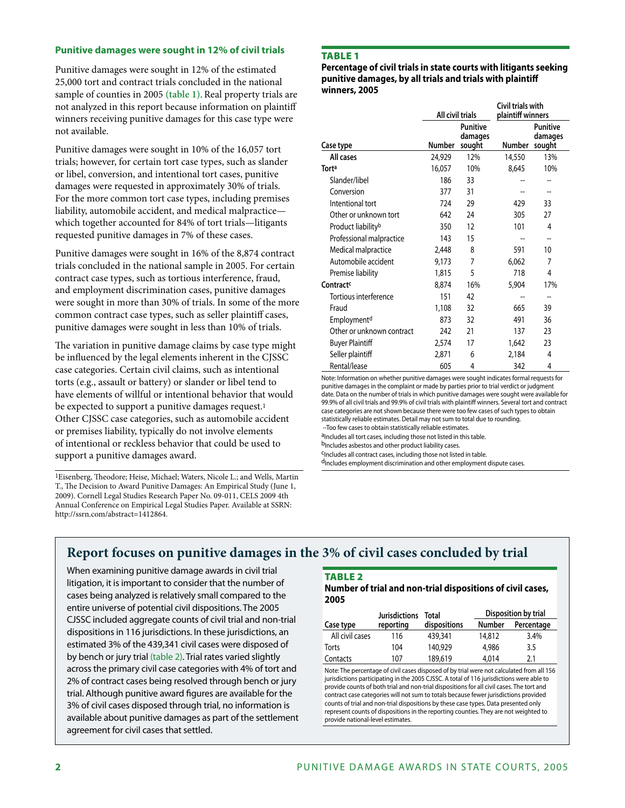# **Punitive damages were sought in 12% of civil trials**

Punitive damages were sought in 12% of the estimated 25,000 tort and contract trials concluded in the national sample of counties in 2005 (table 1). Real property trials are not analyzed in this report because information on plaintiff winners receiving punitive damages for this case type were not available.

Punitive damages were sought in 10% of the 16,057 tort trials; however, for certain tort case types, such as slander or libel, conversion, and intentional tort cases, punitive damages were requested in approximately 30% of trials. For the more common tort case types, including premises liability, automobile accident, and medical malpractice which together accounted for 84% of tort trials—litigants requested punitive damages in 7% of these cases.

Punitive damages were sought in 16% of the 8,874 contract trials concluded in the national sample in 2005. For certain contract case types, such as tortious interference, fraud, and employment discrimination cases, punitive damages were sought in more than 30% of trials. In some of the more common contract case types, such as seller plaintiff cases, punitive damages were sought in less than 10% of trials.

The variation in punitive damage claims by case type might be influenced by the legal elements inherent in the CJSSC case categories. Certain civil claims, such as intentional torts (e.g., assault or battery) or slander or libel tend to have elements of willful or intentional behavior that would be expected to support a punitive damages request.<sup>1</sup> Other CJSSC case categories, such as automobile accident or premises liability, typically do not involve elements of intentional or reckless behavior that could be used to support a punitive damages award.

1Eisenberg, Theodore; Heise, Michael; Waters, Nicole L.; and Wells, Martin T., The Decision to Award Punitive Damages: An Empirical Study (June 1, 2009). Cornell Legal Studies Research Paper No. 09-011, CELS 2009 4th Annual Conference on Empirical Legal Studies Paper. Available at SSRN: http://ssrn.com/abstract=1412864.

# Table 1

**Percentage of civil trials in state courts with litigants seeking punitive damages, by all trials and trials with plaintiff winners, 2005**

|                                | All civil trials |                                      | Civil trials with<br>plaintiff winners |                                      |
|--------------------------------|------------------|--------------------------------------|----------------------------------------|--------------------------------------|
| Case type                      | Number           | <b>Punitive</b><br>damages<br>sought | <b>Number</b>                          | <b>Punitive</b><br>damages<br>sought |
| All cases                      | 24,929           | 12%                                  | 14,550                                 | 13%                                  |
| Torta                          | 16,057           | 10%                                  | 8,645                                  | 10%                                  |
| Slander/libel                  | 186              | 33                                   |                                        |                                      |
| Conversion                     | 377              | 31                                   |                                        |                                      |
| Intentional tort               | 724              | 29                                   | 429                                    | 33                                   |
| Other or unknown tort          | 642              | 24                                   | 305                                    | 27                                   |
| Product liability <sup>b</sup> | 350              | 12                                   | 101                                    | 4                                    |
| Professional malpractice       | 143              | 15                                   |                                        | --                                   |
| Medical malpractice            | 2,448            | 8                                    | 591                                    | 10                                   |
| Automobile accident            | 9,173            | $\overline{7}$                       | 6,062                                  | 7                                    |
| Premise liability              | 1,815            | 5                                    | 718                                    | 4                                    |
| Contract <sup>c</sup>          | 8,874            | 16%                                  | 5,904                                  | 17%                                  |
| Tortious interference          | 151              | 42                                   |                                        | --                                   |
| Fraud                          | 1,108            | 32                                   | 665                                    | 39                                   |
| Employment <sup>d</sup>        | 873              | 32                                   | 491                                    | 36                                   |
| Other or unknown contract      | 242              | 21                                   | 137                                    | 23                                   |
| <b>Buyer Plaintiff</b>         | 2,574            | 17                                   | 1,642                                  | 23                                   |
| Seller plaintiff               | 2,871            | 6                                    | 2,184                                  | 4                                    |
| Rental/lease                   | 605              | 4                                    | 342                                    | 4                                    |

Note: Information on whether punitive damages were sought indicates formal requests for punitive damages in the complaint or made by parties prior to trial verdict or judgment date. Data on the number of trials in which punitive damages were sought were available for 99.9% of all civil trials and 99.9% of civil trials with plaintiff winners. Several tort and contract case categories are not shown because there were too few cases of such types to obtain statistically reliable estimates. Detail may not sum to total due to rounding. --Too few cases to obtain statistically reliable estimates.

aIncludes all tort cases, including those not listed in this table.

bIncludes asbestos and other product liability cases.

cIncludes all contract cases, including those not listed in table. d<sub>Includes</sub> employment discrimination and other employment dispute cases.

# **Report focuses on punitive damages in the 3% of civil cases concluded by trial**

When examining punitive damage awards in civil trial litigation, it is important to consider that the number of cases being analyzed is relatively small compared to the entire universe of potential civil dispositions. The 2005 CJSSC included aggregate counts of civil trial and non-trial dispositions in 116 jurisdictions. In these jurisdictions, an estimated 3% of the 439,341 civil cases were disposed of by bench or jury trial (table 2). Trial rates varied slightly across the primary civil case categories with 4% of tort and 2% of contract cases being resolved through bench or jury trial. Although punitive award figures are available for the 3% of civil cases disposed through trial, no information is available about punitive damages as part of the settlement agreement for civil cases that settled.

# **TABLE 2**

#### **Number of trial and non-trial dispositions of civil cases, 2005**

|                 | Jurisdictions | Total        | Disposition by trial |            |
|-----------------|---------------|--------------|----------------------|------------|
| Case type       | reporting     | dispositions | <b>Number</b>        | Percentage |
| All civil cases | 116           | 439,341      | 14,812               | 3.4%       |
| Torts           | 104           | 140,929      | 4,986                | 3.5        |
| Contacts        | 107           | 189,619      | 4,014                | 2.1        |

Note: The percentage of civil cases disposed of by trial were not calculated from all 156 jurisdictions participating in the 2005 CJSSC. A total of 116 jurisdictions were able to provide counts of both trial and non-trial dispositions for all civil cases. The tort and contract case categories will not sum to totals because fewer jurisdictions provided counts of trial and non-trial dispositions by these case types. Data presented only represent counts of dispositions in the reporting counties. They are not weighted to provide national-level estimates.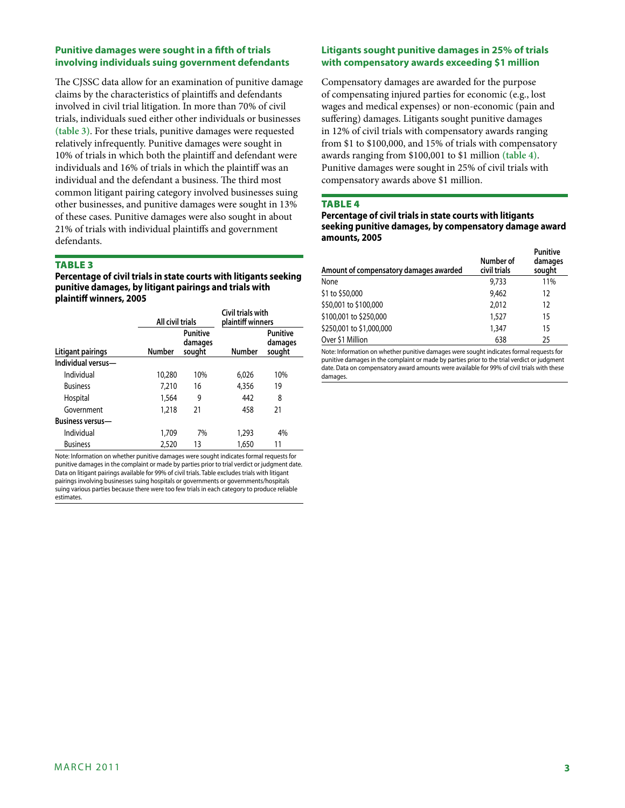# **Punitive damages were sought in a fifth of trials involving individuals suing government defendants**

The CJSSC data allow for an examination of punitive damage claims by the characteristics of plaintiffs and defendants involved in civil trial litigation. In more than 70% of civil trials, individuals sued either other individuals or businesses **(table 3)**. For these trials, punitive damages were requested relatively infrequently. Punitive damages were sought in 10% of trials in which both the plaintiff and defendant were individuals and 16% of trials in which the plaintiff was an individual and the defendant a business. The third most common litigant pairing category involved businesses suing other businesses, and punitive damages were sought in 13% of these cases. Punitive damages were also sought in about 21% of trials with individual plaintiffs and government defendants.

## **TABLE 3**

**Percentage of civil trials in state courts with litigants seeking punitive damages, by litigant pairings and trials with plaintiff winners, 2005**

|                         |               | All civil trials              |               | Civil trials with<br>plaintiff winners |
|-------------------------|---------------|-------------------------------|---------------|----------------------------------------|
| Litigant pairings       | <b>Number</b> | Punitive<br>damages<br>sought | <b>Number</b> | <b>Punitive</b><br>damages<br>sought   |
| Individual versus-      |               |                               |               |                                        |
| Individual              | 10,280        | 10%                           | 6,026         | 10%                                    |
| <b>Business</b>         | 7,210         | 16                            | 4,356         | 19                                     |
| Hospital                | 1,564         | 9                             | 442           | 8                                      |
| Government              | 1,218         | 21                            | 458           | 21                                     |
| <b>Business versus—</b> |               |                               |               |                                        |
| Individual              | 1,709         | 7%                            | 1,293         | 4%                                     |
| <b>Business</b>         | 2,520         | 13                            | 1,650         | 11                                     |

Note: Information on whether punitive damages were sought indicates formal requests for punitive damages in the complaint or made by parties prior to trial verdict or judgment date. Data on litigant pairings available for 99% of civil trials. Table excludes trials with litigant pairings involving businesses suing hospitals or governments or governments/hospitals suing various parties because there were too few trials in each category to produce reliable estimates.

# **Litigants sought punitive damages in 25% of trials with compensatory awards exceeding \$1 million**

Compensatory damages are awarded for the purpose of compensating injured parties for economic (e.g., lost wages and medical expenses) or non-economic (pain and suffering) damages. Litigants sought punitive damages in 12% of civil trials with compensatory awards ranging from \$1 to \$100,000, and 15% of trials with compensatory awards ranging from \$100,001 to \$1 million **(table 4)**. Punitive damages were sought in 25% of civil trials with compensatory awards above \$1 million.

## **TABLE 4**

**Percentage of civil trials in state courts with litigants seeking punitive damages, by compensatory damage award amounts, 2005**

| Amount of compensatory damages awarded | Number of<br>civil trials | <b>Punitive</b><br>damages<br>sought |
|----------------------------------------|---------------------------|--------------------------------------|
| None                                   | 9.733                     | 11%                                  |
| \$1 to \$50,000                        | 9,462                     | 12                                   |
| \$50,001 to \$100,000                  | 2.012                     | 12                                   |
| \$100,001 to \$250,000                 | 1,527                     | 15                                   |
| \$250,001 to \$1,000,000               | 1,347                     | 15                                   |
| Over \$1 Million                       | 638                       | 25                                   |

Note: Information on whether punitive damages were sought indicates formal requests for punitive damages in the complaint or made by parties prior to the trial verdict or judgment date. Data on compensatory award amounts were available for 99% of civil trials with these damages.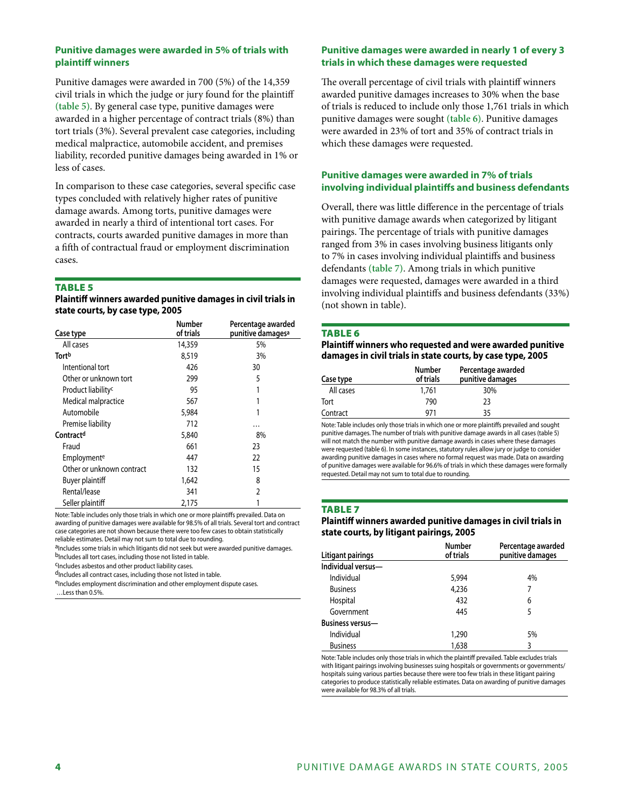# **Punitive damages were awarded in 5% of trials with plaintiff winners**

Punitive damages were awarded in 700 (5%) of the 14,359 civil trials in which the judge or jury found for the plaintiff **(table 5)**. By general case type, punitive damages were awarded in a higher percentage of contract trials (8%) than tort trials (3%). Several prevalent case categories, including medical malpractice, automobile accident, and premises liability, recorded punitive damages being awarded in 1% or less of cases.

In comparison to these case categories, several specific case types concluded with relatively higher rates of punitive damage awards. Among torts, punitive damages were awarded in nearly a third of intentional tort cases. For contracts, courts awarded punitive damages in more than a fifth of contractual fraud or employment discrimination cases.

#### Table 5

|                                  | Plaintiff winners awarded punitive damages in civil trials in |
|----------------------------------|---------------------------------------------------------------|
| state courts, by case type, 2005 |                                                               |

| Case type                      | Number<br>of trials | Percentage awarded<br>punitive damages <sup>a</sup> |
|--------------------------------|---------------------|-----------------------------------------------------|
| All cases                      | 14,359              | 5%                                                  |
| Tortb                          | 8,519               | 3%                                                  |
| Intentional tort               | 426                 | 30                                                  |
| Other or unknown tort          | 299                 | 5                                                   |
| Product liability <sup>c</sup> | 95                  |                                                     |
| Medical malpractice            | 567                 |                                                     |
| Automobile                     | 5,984               |                                                     |
| Premise liability              | 712                 | .                                                   |
| Contractd                      | 5,840               | 8%                                                  |
| Fraud                          | 661                 | 23                                                  |
| Employmente                    | 447                 | 22                                                  |
| Other or unknown contract      | 132                 | 15                                                  |
| Buyer plaintiff                | 1,642               | 8                                                   |
| Rental/lease                   | 341                 | 2                                                   |
| Seller plaintiff               | 2.175               |                                                     |

Note: Table includes only those trials in which one or more plaintiffs prevailed. Data on awarding of punitive damages were available for 98.5% of all trials. Several tort and contract case categories are not shown because there were too few cases to obtain statistically reliable estimates. Detail may not sum to total due to rounding.

aIncludes some trials in which litigants did not seek but were awarded punitive damages.

bIncludes all tort cases, including those not listed in table. <sup>C</sup>Includes asbestos and other product liability cases.

dIncludes all contract cases, including those not listed in table. eIncludes employment discrimination and other employment dispute cases.

…Less than 0.5%.

# **Punitive damages were awarded in nearly 1 of every 3 trials in which these damages were requested**

The overall percentage of civil trials with plaintiff winners awarded punitive damages increases to 30% when the base of trials is reduced to include only those 1,761 trials in which punitive damages were sought **(table 6)**. Punitive damages were awarded in 23% of tort and 35% of contract trials in which these damages were requested.

# **Punitive damages were awarded in 7% of trials involving individual plaintiffs and business defendants**

Overall, there was little difference in the percentage of trials with punitive damage awards when categorized by litigant pairings. The percentage of trials with punitive damages ranged from 3% in cases involving business litigants only to 7% in cases involving individual plaintiffs and business defendants **(table 7)**. Among trials in which punitive damages were requested, damages were awarded in a third involving individual plaintiffs and business defendants (33%) (not shown in table).

#### **TABLE 6**

**Plaintiff winners who requested and were awarded punitive damages in civil trials in state courts, by case type, 2005**

| Case type | <b>Number</b><br>of trials | Percentage awarded<br>punitive damages |  |
|-----------|----------------------------|----------------------------------------|--|
| All cases | 1,761                      | 30%                                    |  |
| Tort      | 790                        | 23                                     |  |
| Contract  | 971                        | 35                                     |  |

Note: Table includes only those trials in which one or more plaintiffs prevailed and sought punitive damages. The number of trials with punitive damage awards in all cases (table 5) will not match the number with punitive damage awards in cases where these damages were requested (table 6). In some instances, statutory rules allow jury or judge to consider awarding punitive damages in cases where no formal request was made. Data on awarding of punitive damages were available for 96.6% of trials in which these damages were formally requested. Detail may not sum to total due to rounding.

# **TABLE 7**

#### **Plaintiff winners awarded punitive damages in civil trials in state courts, by litigant pairings, 2005**

|                         | <b>Number</b> | Percentage awarded |
|-------------------------|---------------|--------------------|
| Litigant pairings       | of trials     | punitive damages   |
| Individual versus-      |               |                    |
| Individual              | 5.994         | 4%                 |
| <b>Business</b>         | 4,236         | 7                  |
| Hospital                | 432           | 6                  |
| Government              | 445           | 5                  |
| <b>Business versus-</b> |               |                    |
| Individual              | 1,290         | 5%                 |
| <b>Business</b>         | 1,638         | 3                  |

Note: Table includes only those trials in which the plaintiff prevailed. Table excludes trials with litigant pairings involving businesses suing hospitals or governments or governments/ hospitals suing various parties because there were too few trials in these litigant pairing categories to produce statistically reliable estimates. Data on awarding of punitive damages were available for 98.3% of all trials.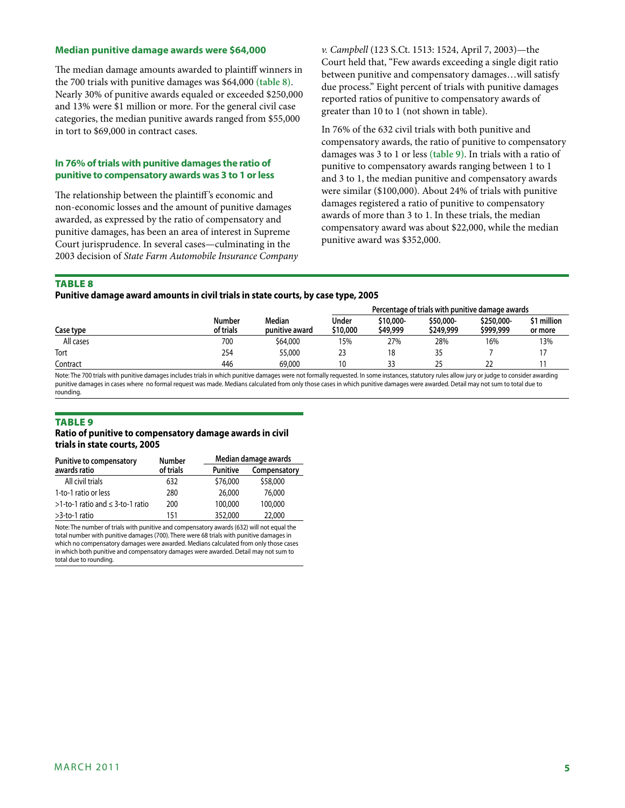#### **Median punitive damage awards were \$64,000**

The median damage amounts awarded to plaintiff winners in the 700 trials with punitive damages was \$64,000 **(table 8)**. Nearly 30% of punitive awards equaled or exceeded \$250,000 and 13% were \$1 million or more. For the general civil case categories, the median punitive awards ranged from \$55,000 in tort to \$69,000 in contract cases.

# **In 76% of trials with punitive damages the ratio of punitive to compensatory awards was 3 to 1 or less**

The relationship between the plaintiff 's economic and non-economic losses and the amount of punitive damages awarded, as expressed by the ratio of compensatory and punitive damages, has been an area of interest in Supreme Court jurisprudence. In several cases—culminating in the 2003 decision of *State Farm Automobile Insurance Company*  *v. Campbell* (123 S.Ct. 1513: 1524, April 7, 2003)—the Court held that, "Few awards exceeding a single digit ratio between punitive and compensatory damages…will satisfy due process." Eight percent of trials with punitive damages reported ratios of punitive to compensatory awards of greater than 10 to 1 (not shown in table).

In 76% of the 632 civil trials with both punitive and compensatory awards, the ratio of punitive to compensatory damages was 3 to 1 or less **(table 9)**. In trials with a ratio of punitive to compensatory awards ranging between 1 to 1 and 3 to 1, the median punitive and compensatory awards were similar (\$100,000). About 24% of trials with punitive damages registered a ratio of punitive to compensatory awards of more than 3 to 1. In these trials, the median compensatory award was about \$22,000, while the median punitive award was \$352,000.

#### **TABLE 8**

**Punitive damage award amounts in civil trials in state courts, by case type, 2005**

|           |                     |                          | Percentage of trials with punitive damage awards |                       |                        |                         |                        |  |
|-----------|---------------------|--------------------------|--------------------------------------------------|-----------------------|------------------------|-------------------------|------------------------|--|
| Case type | Number<br>of trials | Median<br>punitive award | Under<br>\$10,000                                | \$10,000-<br>\$49,999 | \$50,000-<br>\$249,999 | \$250,000-<br>\$999,999 | \$1 million<br>or more |  |
| All cases | 700                 | \$64,000                 | 15%                                              | 27%                   | 28%                    | 16%                     | 13%                    |  |
| Tort      | 254                 | 55,000                   | 23                                               | 18                    | 35                     |                         |                        |  |
| Contract  | 446                 | 69,000                   | 10                                               |                       | つら                     |                         |                        |  |

Note: The 700 trials with punitive damages includes trials in which punitive damages were not formally requested. In some instances, statutory rules allow jury or judge to consider awarding punitive damages in cases where no formal request was made. Medians calculated from only those cases in which punitive damages were awarded. Detail may not sum to total due to rounding.

#### **TABLE 9**

#### **Ratio of punitive to compensatory damage awards in civil trials in state courts, 2005**

| <b>Punitive to compensatory</b>           | <b>Number</b> |                 | Median damage awards |  |  |  |
|-------------------------------------------|---------------|-----------------|----------------------|--|--|--|
| awards ratio                              | of trials     | <b>Punitive</b> | Compensatory         |  |  |  |
| All civil trials                          | 632           | \$76,000        | \$58,000             |  |  |  |
| 1-to-1 ratio or less                      | 280           | 26,000          | 76,000               |  |  |  |
| $>1$ -to-1 ratio and $\leq 3$ -to-1 ratio | 200           | 100,000         | 100,000              |  |  |  |
| >3-to-1 ratio                             | 151           | 352,000         | 22,000               |  |  |  |

Note: The number of trials with punitive and compensatory awards (632) will not equal the total number with punitive damages (700). There were 68 trials with punitive damages in which no compensatory damages were awarded. Medians calculated from only those cases in which both punitive and compensatory damages were awarded. Detail may not sum to total due to rounding.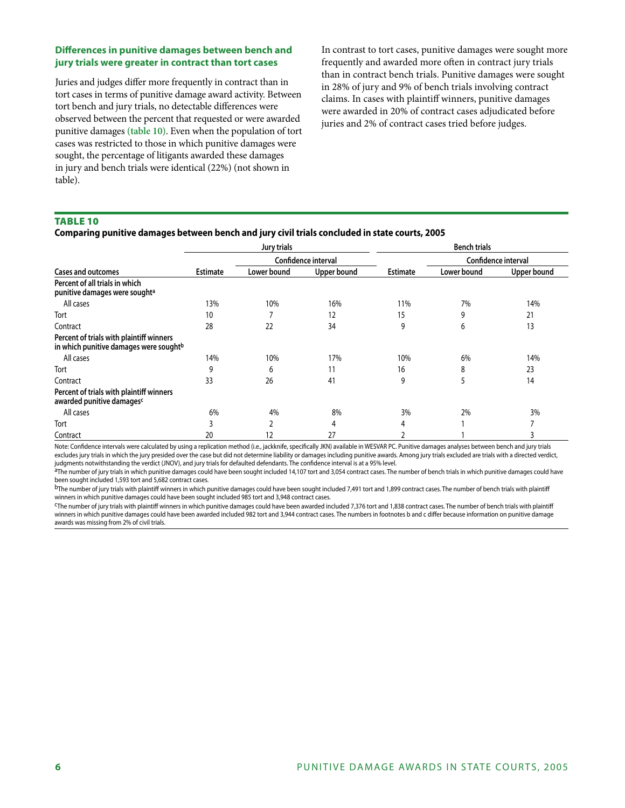# **Differences in punitive damages between bench and jury trials were greater in contract than tort cases**

Juries and judges differ more frequently in contract than in tort cases in terms of punitive damage award activity. Between tort bench and jury trials, no detectable differences were observed between the percent that requested or were awarded punitive damages **(table 10)**. Even when the population of tort cases was restricted to those in which punitive damages were sought, the percentage of litigants awarded these damages in jury and bench trials were identical (22%) (not shown in table).

In contrast to tort cases, punitive damages were sought more frequently and awarded more often in contract jury trials than in contract bench trials. Punitive damages were sought in 28% of jury and 9% of bench trials involving contract claims. In cases with plaintiff winners, punitive damages were awarded in 20% of contract cases adjudicated before juries and 2% of contract cases tried before judges.

#### Table 10

# **Comparing punitive damages between bench and jury civil trials concluded in state courts, 2005**

|                                                                                                |                     | Jury trials |                    |                 | <b>Bench trials</b> |             |  |
|------------------------------------------------------------------------------------------------|---------------------|-------------|--------------------|-----------------|---------------------|-------------|--|
|                                                                                                | Confidence interval |             |                    |                 | Confidence interval |             |  |
| <b>Cases and outcomes</b>                                                                      | <b>Estimate</b>     | Lower bound | <b>Upper bound</b> | <b>Estimate</b> | Lower bound         | Upper bound |  |
| Percent of all trials in which<br>punitive damages were sought <sup>a</sup>                    |                     |             |                    |                 |                     |             |  |
| All cases                                                                                      | 13%                 | 10%         | 16%                | 11%             | 7%                  | 14%         |  |
| Tort                                                                                           | 10                  |             | 12                 | 15              | 9                   | 21          |  |
| Contract                                                                                       | 28                  | 22          | 34                 | 9               | 6                   | 13          |  |
| Percent of trials with plaintiff winners<br>in which punitive damages were sought <sup>b</sup> |                     |             |                    |                 |                     |             |  |
| All cases                                                                                      | 14%                 | 10%         | 17%                | 10%             | 6%                  | 14%         |  |
| Tort                                                                                           | 9                   | 6           | 11                 | 16              | 8                   | 23          |  |
| Contract                                                                                       | 33                  | 26          | 41                 | 9               | 5                   | 14          |  |
| Percent of trials with plaintiff winners<br>awarded punitive damagesc                          |                     |             |                    |                 |                     |             |  |
| All cases                                                                                      | 6%                  | 4%          | 8%                 | 3%              | 2%                  | 3%          |  |
| Tort                                                                                           |                     |             | 4                  | 4               |                     |             |  |
| Contract                                                                                       | 20                  | 12          | 27                 |                 |                     | 3           |  |

Note: Confidence intervals were calculated by using a replication method (i.e., jackknife, specifically JKN) available in WESVAR PC. Punitive damages analyses between bench and jury trials excludes jury trials in which the jury presided over the case but did not determine liability or damages including punitive awards. Among jury trials excluded are trials with a directed verdict, judgments notwithstanding the verdict (JNOV), and jury trials for defaulted defendants. The confidence interval is at a 95% level.

aThe number of jury trials in which punitive damages could have been sought included 14,107 tort and 3,054 contract cases. The number of bench trials in which punitive damages could have been sought included 1,593 tort and 5,682 contract cases.

bThe number of jury trials with plaintiff winners in which punitive damages could have been sought included 7,491 tort and 1,899 contract cases. The number of bench trials with plaintiff winners in which punitive damages could have been sought included 985 tort and 3,948 contract cases.

cThe number of jury trials with plaintiff winners in which punitive damages could have been awarded included 7,376 tort and 1,838 contract cases. The number of bench trials with plaintiff winners in which punitive damages could have been awarded included 982 tort and 3,944 contract cases. The numbers in footnotes b and c differ because information on punitive damage awards was missing from 2% of civil trials.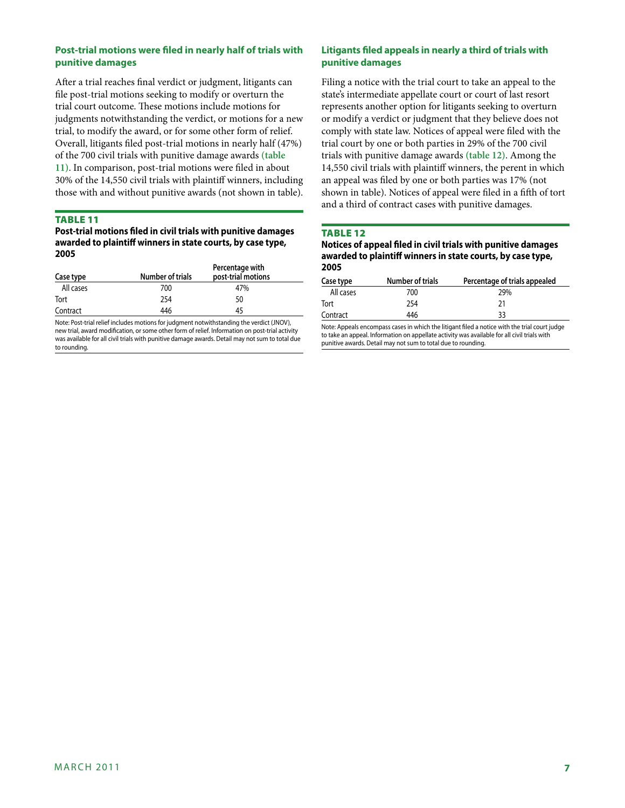# **Post-trial motions were filed in nearly half of trials with punitive damages**

After a trial reaches final verdict or judgment, litigants can file post-trial motions seeking to modify or overturn the trial court outcome. These motions include motions for judgments notwithstanding the verdict, or motions for a new trial, to modify the award, or for some other form of relief. Overall, litigants filed post-trial motions in nearly half (47%) of the 700 civil trials with punitive damage awards **(table 11)**. In comparison, post-trial motions were filed in about 30% of the 14,550 civil trials with plaintiff winners, including those with and without punitive awards (not shown in table).

## Table 11

**Post-trial motions filed in civil trials with punitive damages awarded to plaintiff winners in state courts, by case type, 2005**

| Case type | <b>Number of trials</b> | Percentage with<br>post-trial motions |  |
|-----------|-------------------------|---------------------------------------|--|
| All cases | 700                     | 47%                                   |  |
| Tort      | 254                     | 50                                    |  |
| Contract  | 446                     | 45                                    |  |

Note: Post-trial relief includes motions for judgment notwithstanding the verdict (JNOV), new trial, award modification, or some other form of relief. Information on post-trial activity was available for all civil trials with punitive damage awards. Detail may not sum to total due to rounding.

# **Litigants filed appeals in nearly a third of trials with punitive damages**

Filing a notice with the trial court to take an appeal to the state's intermediate appellate court or court of last resort represents another option for litigants seeking to overturn or modify a verdict or judgment that they believe does not comply with state law. Notices of appeal were filed with the trial court by one or both parties in 29% of the 700 civil trials with punitive damage awards **(table 12)**. Among the 14,550 civil trials with plaintiff winners, the perent in which an appeal was filed by one or both parties was 17% (not shown in table). Notices of appeal were filed in a fifth of tort and a third of contract cases with punitive damages.

## Table 12

| Notices of appeal filed in civil trials with punitive damages |
|---------------------------------------------------------------|
| awarded to plaintiff winners in state courts, by case type,   |
| 2005                                                          |

| Case type | <b>Number of trials</b> | Percentage of trials appealed |
|-----------|-------------------------|-------------------------------|
| All cases | 700                     | 29%                           |
| Tort      | 254                     | 21                            |
| Contract  | 446                     | 33                            |

Note: Appeals encompass cases in which the litigant filed a notice with the trial court judge to take an appeal. Information on appellate activity was available for all civil trials with punitive awards. Detail may not sum to total due to rounding.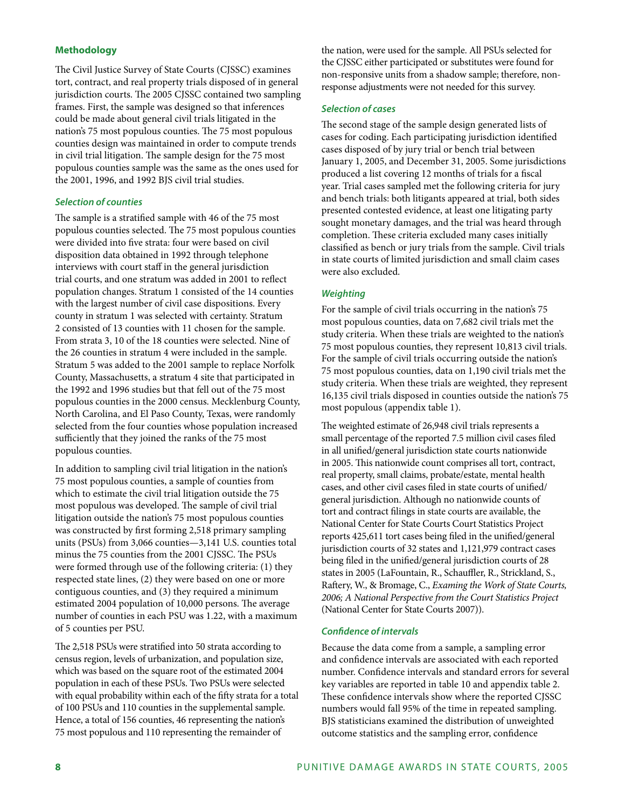# **Methodology**

The Civil Justice Survey of State Courts (CJSSC) examines tort, contract, and real property trials disposed of in general jurisdiction courts. The 2005 CJSSC contained two sampling frames. First, the sample was designed so that inferences could be made about general civil trials litigated in the nation's 75 most populous counties. The 75 most populous counties design was maintained in order to compute trends in civil trial litigation. The sample design for the 75 most populous counties sample was the same as the ones used for the 2001, 1996, and 1992 BJS civil trial studies.

#### *Selection of counties*

The sample is a stratified sample with 46 of the 75 most populous counties selected. The 75 most populous counties were divided into five strata: four were based on civil disposition data obtained in 1992 through telephone interviews with court staff in the general jurisdiction trial courts, and one stratum was added in 2001 to reflect population changes. Stratum 1 consisted of the 14 counties with the largest number of civil case dispositions. Every county in stratum 1 was selected with certainty. Stratum 2 consisted of 13 counties with 11 chosen for the sample. From strata 3, 10 of the 18 counties were selected. Nine of the 26 counties in stratum 4 were included in the sample. Stratum 5 was added to the 2001 sample to replace Norfolk County, Massachusetts, a stratum 4 site that participated in the 1992 and 1996 studies but that fell out of the 75 most populous counties in the 2000 census. Mecklenburg County, North Carolina, and El Paso County, Texas, were randomly selected from the four counties whose population increased sufficiently that they joined the ranks of the 75 most populous counties.

In addition to sampling civil trial litigation in the nation's 75 most populous counties, a sample of counties from which to estimate the civil trial litigation outside the 75 most populous was developed. The sample of civil trial litigation outside the nation's 75 most populous counties was constructed by first forming 2,518 primary sampling units (PSUs) from 3,066 counties—3,141 U.S. counties total minus the 75 counties from the 2001 CJSSC. The PSUs were formed through use of the following criteria: (1) they respected state lines, (2) they were based on one or more contiguous counties, and (3) they required a minimum estimated 2004 population of 10,000 persons. The average number of counties in each PSU was 1.22, with a maximum of 5 counties per PSU.

The 2,518 PSUs were stratified into 50 strata according to census region, levels of urbanization, and population size, which was based on the square root of the estimated 2004 population in each of these PSUs. Two PSUs were selected with equal probability within each of the fifty strata for a total of 100 PSUs and 110 counties in the supplemental sample. Hence, a total of 156 counties, 46 representing the nation's 75 most populous and 110 representing the remainder of

the nation, were used for the sample. All PSUs selected for the CJSSC either participated or substitutes were found for non-responsive units from a shadow sample; therefore, nonresponse adjustments were not needed for this survey.

#### *Selection of cases*

The second stage of the sample design generated lists of cases for coding. Each participating jurisdiction identified cases disposed of by jury trial or bench trial between January 1, 2005, and December 31, 2005. Some jurisdictions produced a list covering 12 months of trials for a fiscal year. Trial cases sampled met the following criteria for jury and bench trials: both litigants appeared at trial, both sides presented contested evidence, at least one litigating party sought monetary damages, and the trial was heard through completion. These criteria excluded many cases initially classified as bench or jury trials from the sample. Civil trials in state courts of limited jurisdiction and small claim cases were also excluded.

## *Weighting*

For the sample of civil trials occurring in the nation's 75 most populous counties, data on 7,682 civil trials met the study criteria. When these trials are weighted to the nation's 75 most populous counties, they represent 10,813 civil trials. For the sample of civil trials occurring outside the nation's 75 most populous counties, data on 1,190 civil trials met the study criteria. When these trials are weighted, they represent 16,135 civil trials disposed in counties outside the nation's 75 most populous (appendix table 1).

The weighted estimate of 26,948 civil trials represents a small percentage of the reported 7.5 million civil cases filed in all unified/general jurisdiction state courts nationwide in 2005. This nationwide count comprises all tort, contract, real property, small claims, probate/estate, mental health cases, and other civil cases filed in state courts of unified/ general jurisdiction. Although no nationwide counts of tort and contract filings in state courts are available, the National Center for State Courts Court Statistics Project reports 425,611 tort cases being filed in the unified/general jurisdiction courts of 32 states and 1,121,979 contract cases being filed in the unified/general jurisdiction courts of 28 states in 2005 (LaFountain, R., Schauffler, R., Strickland, S., Raftery, W., & Bromage, C., *Examing the Work of State Courts, 2006; A National Perspective from the Court Statistics Project* (National Center for State Courts 2007)).

#### *Confidence of intervals*

Because the data come from a sample, a sampling error and confidence intervals are associated with each reported number. Confidence intervals and standard errors for several key variables are reported in table 10 and appendix table 2. These confidence intervals show where the reported CJSSC numbers would fall 95% of the time in repeated sampling. BJS statisticians examined the distribution of unweighted outcome statistics and the sampling error, confidence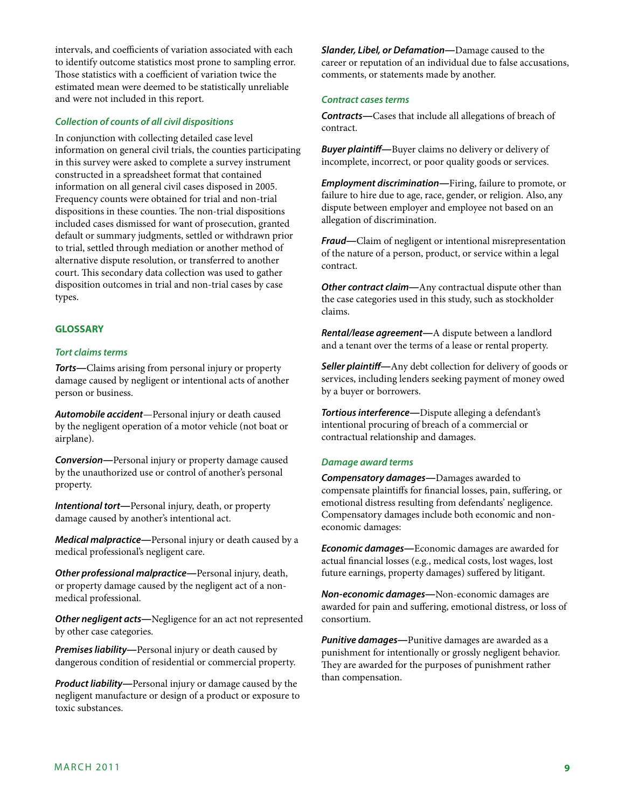intervals, and coefficients of variation associated with each to identify outcome statistics most prone to sampling error. Those statistics with a coefficient of variation twice the estimated mean were deemed to be statistically unreliable and were not included in this report.

#### *Collection of counts of all civil dispositions*

In conjunction with collecting detailed case level information on general civil trials, the counties participating in this survey were asked to complete a survey instrument constructed in a spreadsheet format that contained information on all general civil cases disposed in 2005. Frequency counts were obtained for trial and non-trial dispositions in these counties. The non-trial dispositions included cases dismissed for want of prosecution, granted default or summary judgments, settled or withdrawn prior to trial, settled through mediation or another method of alternative dispute resolution, or transferred to another court. This secondary data collection was used to gather disposition outcomes in trial and non-trial cases by case types.

## **GLOSSARY**

#### *Tort claims terms*

*Torts—*Claims arising from personal injury or property damage caused by negligent or intentional acts of another person or business.

*Automobile accident*—Personal injury or death caused by the negligent operation of a motor vehicle (not boat or airplane).

*Conversion—*Personal injury or property damage caused by the unauthorized use or control of another's personal property.

*Intentional tort—*Personal injury, death, or property damage caused by another's intentional act.

*Medical malpractice—*Personal injury or death caused by a medical professional's negligent care.

*Other professional malpractice—*Personal injury, death, or property damage caused by the negligent act of a nonmedical professional.

*Other negligent acts—*Negligence for an act not represented by other case categories.

*Premises liability—*Personal injury or death caused by dangerous condition of residential or commercial property.

*Product liability—*Personal injury or damage caused by the negligent manufacture or design of a product or exposure to toxic substances.

*Slander, Libel, or Defamation—*Damage caused to the career or reputation of an individual due to false accusations, comments, or statements made by another.

#### *Contract cases terms*

*Contracts—*Cases that include all allegations of breach of contract.

*Buyer plaintiff—*Buyer claims no delivery or delivery of incomplete, incorrect, or poor quality goods or services.

*Employment discrimination—*Firing, failure to promote, or failure to hire due to age, race, gender, or religion. Also, any dispute between employer and employee not based on an allegation of discrimination.

*Fraud—*Claim of negligent or intentional misrepresentation of the nature of a person, product, or service within a legal contract.

*Other contract claim—*Any contractual dispute other than the case categories used in this study, such as stockholder claims.

*Rental/lease agreement—*A dispute between a landlord and a tenant over the terms of a lease or rental property.

*Seller plaintiff—*Any debt collection for delivery of goods or services, including lenders seeking payment of money owed by a buyer or borrowers.

*Tortious interference—*Dispute alleging a defendant's intentional procuring of breach of a commercial or contractual relationship and damages.

#### *Damage award terms*

*Compensatory damages—*Damages awarded to compensate plaintiffs for financial losses, pain, suffering, or emotional distress resulting from defendants' negligence. Compensatory damages include both economic and noneconomic damages:

*Economic damages—*Economic damages are awarded for actual financial losses (e.g., medical costs, lost wages, lost future earnings, property damages) suffered by litigant.

*Non-economic damages—*Non-economic damages are awarded for pain and suffering, emotional distress, or loss of consortium.

*Punitive damages—*Punitive damages are awarded as a punishment for intentionally or grossly negligent behavior. They are awarded for the purposes of punishment rather than compensation.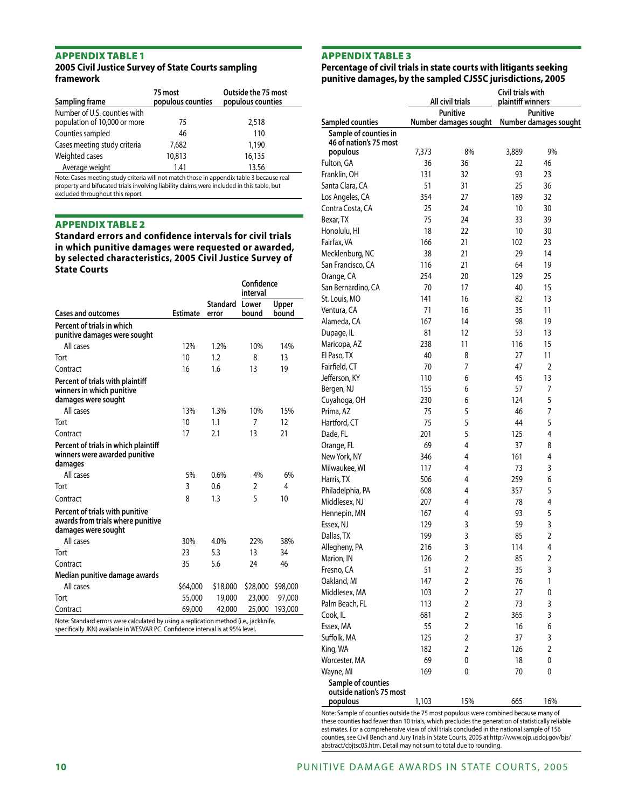#### Appendix table 1 **2005 Civil Justice Survey of State Courts sampling framework**

| Sampling frame                                               | 75 most<br>populous counties | Outside the 75 most<br>populous counties |
|--------------------------------------------------------------|------------------------------|------------------------------------------|
| Number of U.S. counties with<br>population of 10,000 or more | 75                           | 2,518                                    |
| Counties sampled                                             | 46                           | 110                                      |
| Cases meeting study criteria                                 | 7.682                        | 1,190                                    |
| Weighted cases                                               | 10,813                       | 16,135                                   |
| Average weight                                               | 1.41                         | 13.56                                    |

Note: Cases meeting study criteria will not match those in appendix table 3 because real property and bifucated trials involving liability claims were included in this table, but excluded throughout this report.

#### Appendix table 2

**Standard errors and confidence intervals for civil trials in which punitive damages were requested or awarded, by selected characteristics, 2005 Civil Justice Survey of State Courts**

|                                                                                                                                                                         |                 |                         | Confidence<br>interval |                |
|-------------------------------------------------------------------------------------------------------------------------------------------------------------------------|-----------------|-------------------------|------------------------|----------------|
| <b>Cases and outcomes</b>                                                                                                                                               | <b>Estimate</b> | Standard Lower<br>error | bound                  | Upper<br>bound |
| Percent of trials in which<br>punitive damages were sought                                                                                                              |                 |                         |                        |                |
| All cases                                                                                                                                                               | 12%             | 1.2%                    | 10%                    | 14%            |
| Tort                                                                                                                                                                    | 10              | 1.2                     | 8                      | 13             |
| Contract                                                                                                                                                                | 16              | 1.6                     | 13                     | 19             |
| Percent of trials with plaintiff<br>winners in which punitive<br>damages were sought                                                                                    |                 |                         |                        |                |
| All cases                                                                                                                                                               | 13%             | 1.3%                    | 10%                    | 15%            |
| Tort                                                                                                                                                                    | 10              | 1.1                     | 7                      | 12             |
| Contract                                                                                                                                                                | 17              | 2.1                     | 13                     | 21             |
| Percent of trials in which plaintiff<br>winners were awarded punitive<br>damages                                                                                        |                 |                         |                        |                |
| All cases                                                                                                                                                               | 5%              | 0.6%                    | 4%                     | 6%             |
| Tort                                                                                                                                                                    | 3               | 0.6                     | 2                      | 4              |
| Contract                                                                                                                                                                | 8               | 1.3                     | 5                      | 10             |
| Percent of trials with punitive<br>awards from trials where punitive<br>damages were sought                                                                             |                 |                         |                        |                |
| All cases                                                                                                                                                               | 30%             | 4.0%                    | 22%                    | 38%            |
| Tort                                                                                                                                                                    | 23              | 5.3                     | 13                     | 34             |
| Contract                                                                                                                                                                | 35              | 5.6                     | 24                     | 46             |
| Median punitive damage awards                                                                                                                                           |                 |                         |                        |                |
| All cases                                                                                                                                                               | \$64,000        | \$18,000                | \$28,000               | \$98,000       |
| Tort                                                                                                                                                                    | 55,000          | 19,000                  | 23,000                 | 97,000         |
| Contract                                                                                                                                                                | 69,000          | 42,000                  | 25,000                 | 193,000        |
| Note: Standard errors were calculated by using a replication method (i.e., jackknife,<br>specifically JKN) available in WESVAR PC. Confidence interval is at 95% level. |                 |                         |                        |                |

# Appendix table 3

# **Percentage of civil trials in state courts with litigants seeking punitive damages, by the sampled CJSSC jurisdictions, 2005**

|                          | All civil trials |                       | Civil trials with<br>plaintiff winners |                       |  |
|--------------------------|------------------|-----------------------|----------------------------------------|-----------------------|--|
|                          |                  | Punitive              | <b>Punitive</b>                        |                       |  |
| Sampled counties         |                  | Number damages sought |                                        | Number damages sought |  |
| Sample of counties in    |                  |                       |                                        |                       |  |
| 46 of nation's 75 most   |                  |                       |                                        |                       |  |
| populous                 | 7,373            | 8%                    | 3,889                                  | 9%                    |  |
| Fulton, GA               | 36               | 36                    | 22                                     | 46                    |  |
| Franklin, OH             | 131              | 32                    | 93                                     | 23                    |  |
| Santa Clara, CA          | 51               | 31                    | 25                                     | 36                    |  |
| Los Angeles, CA          | 354              | 27                    | 189                                    | 32                    |  |
| Contra Costa, CA         | 25               | 24                    | 10                                     | 30                    |  |
| Bexar, TX                | 75               | 24                    | 33                                     | 39                    |  |
| Honolulu, HI             | 18               | 22                    | 10                                     | 30                    |  |
| Fairfax, VA              | 166              | 21                    | 102                                    | 23                    |  |
| Mecklenburg, NC          | 38               | 21                    | 29                                     | 14                    |  |
| San Francisco, CA        | 116              | 21                    | 64                                     | 19                    |  |
| Orange, CA               | 254              | 20                    | 129                                    | 25                    |  |
| San Bernardino, CA       | 70               | 17                    | 40                                     | 15                    |  |
| St. Louis, MO            | 141              | 16                    | 82                                     | 13                    |  |
| Ventura, CA              | 71               | 16                    | 35                                     | 11                    |  |
| Alameda, CA              | 167              | 14                    | 98                                     | 19                    |  |
| Dupage, IL               | 81               | 12                    | 53                                     | 13                    |  |
| Maricopa, AZ             | 238              | 11                    | 116                                    | 15                    |  |
| El Paso, TX              | 40               | 8                     | 27                                     | 11                    |  |
| Fairfield, CT            | 70               | 7                     | 47                                     | 2                     |  |
| Jefferson, KY            | 110              | 6                     | 45                                     | 13                    |  |
| Bergen, NJ               | 155              | 6                     | 57                                     | 7                     |  |
| Cuyahoga, OH             | 230              | 6                     | 124                                    | 5                     |  |
| Prima, AZ                | 75               | 5                     | 46                                     | 7                     |  |
| Hartford, CT             | 75               | 5                     | 44                                     | 5                     |  |
| Dade, FL                 | 201              | 5                     | 125                                    | 4                     |  |
| Orange, FL               | 69               | 4                     | 37                                     | 8                     |  |
| New York, NY             | 346              | 4                     | 161                                    | 4                     |  |
| Milwaukee, WI            | 117              | 4                     | 73                                     | 3                     |  |
| Harris, TX               | 506              | 4                     | 259                                    | 6                     |  |
| Philadelphia, PA         | 608              | 4                     | 357                                    | 5                     |  |
| Middlesex, NJ            | 207              | 4                     | 78                                     | 4                     |  |
| Hennepin, MN             | 167              | 4                     | 93                                     | 5                     |  |
| Essex, NJ                | 129              | 3                     | 59                                     | 3                     |  |
|                          |                  | 3                     | 85                                     | $\overline{2}$        |  |
| Dallas, TX               | 199              |                       |                                        |                       |  |
| Allegheny, PA            | 216              | 3                     | 114                                    | 4                     |  |
| Marion, IN               | 126              | 2                     | 85                                     | 2                     |  |
| Fresno, CA               | 51               | 2                     | 35                                     | 3                     |  |
| Oakland, MI              | 147              | $\overline{2}$        | 76                                     | 1                     |  |
| Middlesex, MA            | 103              | $\overline{2}$        | 27                                     | 0                     |  |
| Palm Beach, FL           | 113              | 2                     | 73                                     | 3                     |  |
| Cook, IL                 | 681              | 2                     | 365                                    | 3                     |  |
| Essex, MA                | 55               | 2                     | 16                                     | 6                     |  |
| Suffolk, MA              | 125              | $\overline{2}$        | 37                                     | 3                     |  |
| King, WA                 | 182              | $\overline{2}$        | 126                                    | 2                     |  |
| Worcester, MA            | 69               | 0                     | 18                                     | 0                     |  |
| Wayne, MI                | 169              | 0                     | 70                                     | 0                     |  |
| Sample of counties       |                  |                       |                                        |                       |  |
| outside nation's 75 most |                  |                       |                                        |                       |  |
| populous                 | 1,103            | 15%                   | 665                                    | 16%                   |  |

Note: Sample of counties outside the 75 most populous were combined because many of these counties had fewer than 10 trials, which precludes the generation of statistically reliable estimates. For a comprehensive view of civil trials concluded in the national sample of 156 counties, see Civil Bench and Jury Trials in State Courts, 2005 at http://www.ojp.usdoj.gov/bjs/ abstract/cbjtsc05.htm. Detail may not sum to total due to rounding.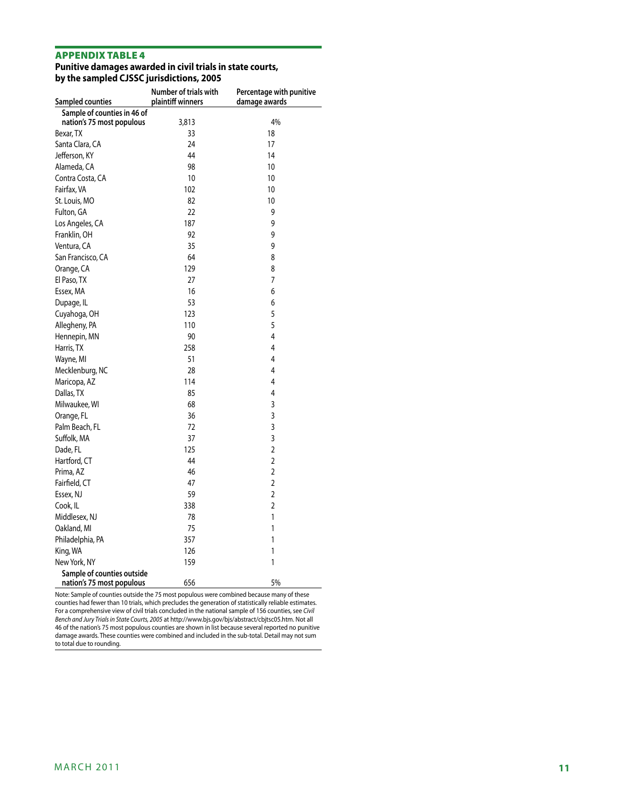#### Appendix table 4

#### **Punitive damages awarded in civil trials in state courts, by the sampled CJSSC jurisdictions, 2005**

| Sampled counties                                        | Number of trials with<br>plaintiff winners | Percentage with punitive<br>damage awards |
|---------------------------------------------------------|--------------------------------------------|-------------------------------------------|
| Sample of counties in 46 of                             |                                            |                                           |
| nation's 75 most populous                               | 3,813                                      | 4%                                        |
| Bexar, TX                                               | 33                                         | 18                                        |
| Santa Clara, CA                                         | 24                                         | 17                                        |
| Jefferson, KY                                           | 44                                         | 14                                        |
| Alameda, CA                                             | 98                                         | 10                                        |
| Contra Costa, CA                                        | 10                                         | 10                                        |
| Fairfax, VA                                             | 102                                        | 10                                        |
| St. Louis, MO                                           | 82                                         | 10                                        |
| Fulton, GA                                              | 22                                         | 9                                         |
| Los Angeles, CA                                         | 187                                        | 9                                         |
| Franklin, OH                                            | 92                                         | 9                                         |
| Ventura, CA                                             | 35                                         | 9                                         |
| San Francisco, CA                                       | 64                                         | 8                                         |
| Orange, CA                                              | 129                                        | 8                                         |
| El Paso, TX                                             | 27                                         | 7                                         |
| Essex, MA                                               | 16                                         | 6                                         |
| Dupage, IL                                              | 53                                         | 6                                         |
| Cuyahoga, OH                                            | 123                                        | 5                                         |
| Allegheny, PA                                           | 110                                        | 5                                         |
| Hennepin, MN                                            | 90                                         | 4                                         |
| Harris, TX                                              | 258                                        | 4                                         |
| Wayne, MI                                               | 51                                         | 4                                         |
| Mecklenburg, NC                                         | 28                                         | 4                                         |
| Maricopa, AZ                                            | 114                                        | 4                                         |
| Dallas, TX                                              | 85                                         | 4                                         |
| Milwaukee, WI                                           | 68                                         | 3                                         |
| Orange, FL                                              | 36                                         | 3                                         |
| Palm Beach, FL                                          | 72                                         | 3                                         |
| Suffolk, MA                                             | 37                                         | 3                                         |
| Dade, FL                                                | 125                                        | $\overline{2}$                            |
| Hartford, CT                                            | 44                                         | $\overline{2}$                            |
| Prima, AZ                                               | 46                                         | $\overline{2}$                            |
| Fairfield, CT                                           | 47                                         | 2                                         |
| Essex, NJ                                               | 59                                         | $\overline{2}$                            |
| Cook, IL                                                | 338                                        | $\overline{2}$                            |
| Middlesex, NJ                                           | 78                                         | 1                                         |
| Oakland, MI                                             | 75                                         | 1                                         |
| Philadelphia, PA                                        | 357                                        | 1                                         |
| King, WA                                                | 126                                        | 1                                         |
| New York, NY                                            | 159                                        | 1                                         |
| Sample of counties outside<br>nation's 75 most populous | 656                                        | 5%                                        |

Note: Sample of counties outside the 75 most populous were combined because many of these counties had fewer than 10 trials, which precludes the generation of statistically reliable estimates. For a comprehensive view of civil trials concluded in the national sample of 156 counties, see *Civil Bench and Jury Trials in State Courts, 2005* at http://www.bjs.gov/bjs/abstract/cbjtsc05.htm. Not all 46 of the nation's 75 most populous counties are shown in list because several reported no punitive damage awards. These counties were combined and included in the sub-total. Detail may not sum to total due to rounding.